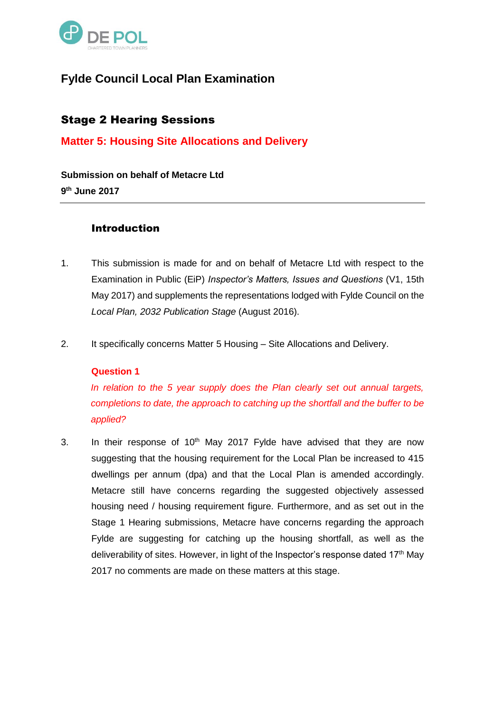

# **Fylde Council Local Plan Examination**

## Stage 2 Hearing Sessions

## **Matter 5: Housing Site Allocations and Delivery**

**Submission on behalf of Metacre Ltd 9 th June 2017**

## Introduction

- 1. This submission is made for and on behalf of Metacre Ltd with respect to the Examination in Public (EiP) *Inspector's Matters, Issues and Questions* (V1, 15th May 2017) and supplements the representations lodged with Fylde Council on the *Local Plan, 2032 Publication Stage* (August 2016).
- 2. It specifically concerns Matter 5 Housing Site Allocations and Delivery.

#### **Question 1**

*In relation to the 5 year supply does the Plan clearly set out annual targets, completions to date, the approach to catching up the shortfall and the buffer to be applied?*

3. In their response of  $10<sup>th</sup>$  May 2017 Fylde have advised that they are now suggesting that the housing requirement for the Local Plan be increased to 415 dwellings per annum (dpa) and that the Local Plan is amended accordingly. Metacre still have concerns regarding the suggested objectively assessed housing need / housing requirement figure. Furthermore, and as set out in the Stage 1 Hearing submissions, Metacre have concerns regarding the approach Fylde are suggesting for catching up the housing shortfall, as well as the deliverability of sites. However, in light of the Inspector's response dated 17<sup>th</sup> May 2017 no comments are made on these matters at this stage.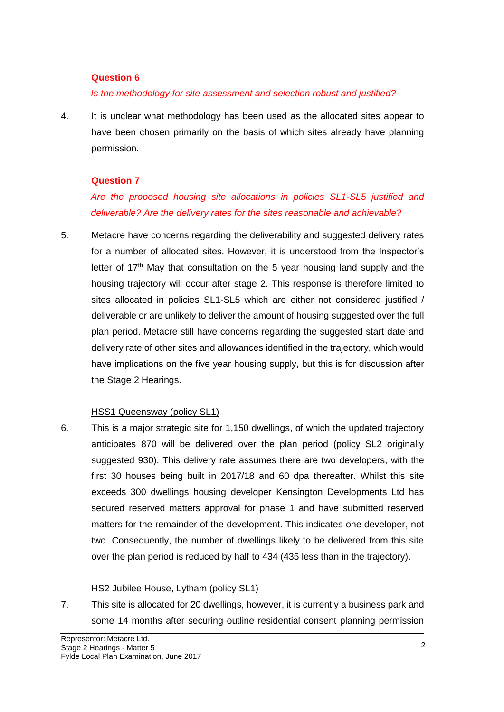#### **Question 6**

#### *Is the methodology for site assessment and selection robust and justified?*

4. It is unclear what methodology has been used as the allocated sites appear to have been chosen primarily on the basis of which sites already have planning permission.

#### **Question 7**

*Are the proposed housing site allocations in policies SL1-SL5 justified and deliverable? Are the delivery rates for the sites reasonable and achievable?*

5. Metacre have concerns regarding the deliverability and suggested delivery rates for a number of allocated sites. However, it is understood from the Inspector's letter of 17<sup>th</sup> May that consultation on the 5 year housing land supply and the housing trajectory will occur after stage 2. This response is therefore limited to sites allocated in policies SL1-SL5 which are either not considered justified / deliverable or are unlikely to deliver the amount of housing suggested over the full plan period. Metacre still have concerns regarding the suggested start date and delivery rate of other sites and allowances identified in the trajectory, which would have implications on the five year housing supply, but this is for discussion after the Stage 2 Hearings.

#### HSS1 Queensway (policy SL1)

6. This is a major strategic site for 1,150 dwellings, of which the updated trajectory anticipates 870 will be delivered over the plan period (policy SL2 originally suggested 930). This delivery rate assumes there are two developers, with the first 30 houses being built in 2017/18 and 60 dpa thereafter. Whilst this site exceeds 300 dwellings housing developer Kensington Developments Ltd has secured reserved matters approval for phase 1 and have submitted reserved matters for the remainder of the development. This indicates one developer, not two. Consequently, the number of dwellings likely to be delivered from this site over the plan period is reduced by half to 434 (435 less than in the trajectory).

#### HS2 Jubilee House, Lytham (policy SL1)

7. This site is allocated for 20 dwellings, however, it is currently a business park and some 14 months after securing outline residential consent planning permission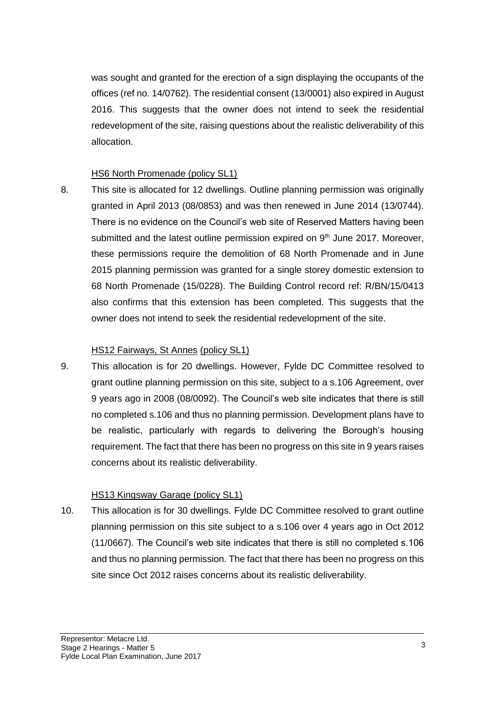was sought and granted for the erection of a sign displaying the occupants of the offices (ref no. 14/0762). The residential consent (13/0001) also expired in August 2016. This suggests that the owner does not intend to seek the residential redevelopment of the site, raising questions about the realistic deliverability of this allocation.

## HS6 North Promenade (policy SL1)

8. This site is allocated for 12 dwellings. Outline planning permission was originally granted in April 2013 (08/0853) and was then renewed in June 2014 (13/0744). There is no evidence on the Council's web site of Reserved Matters having been submitted and the latest outline permission expired on  $9<sup>th</sup>$  June 2017. Moreover, these permissions require the demolition of 68 North Promenade and in June 2015 planning permission was granted for a single storey domestic extension to 68 North Promenade (15/0228). The Building Control record ref: R/BN/15/0413 also confirms that this extension has been completed. This suggests that the owner does not intend to seek the residential redevelopment of the site.

#### HS12 Fairways, St Annes (policy SL1)

9. This allocation is for 20 dwellings. However, Fylde DC Committee resolved to grant outline planning permission on this site, subject to a s.106 Agreement, over 9 years ago in 2008 (08/0092). The Council's web site indicates that there is still no completed s.106 and thus no planning permission. Development plans have to be realistic, particularly with regards to delivering the Borough's housing requirement. The fact that there has been no progress on this site in 9 years raises concerns about its realistic deliverability.

#### HS13 Kingsway Garage (policy SL1)

10. This allocation is for 30 dwellings. Fylde DC Committee resolved to grant outline planning permission on this site subject to a s.106 over 4 years ago in Oct 2012 (11/0667). The Council's web site indicates that there is still no completed s.106 and thus no planning permission. The fact that there has been no progress on this site since Oct 2012 raises concerns about its realistic deliverability.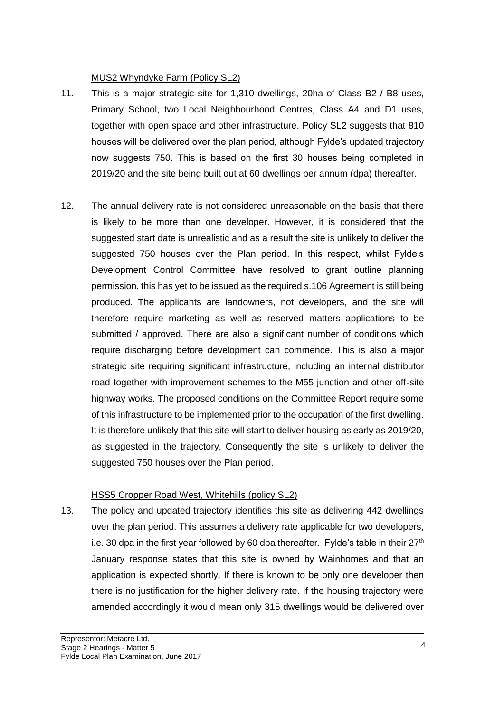## MUS2 Whyndyke Farm (Policy SL2)

- 11. This is a major strategic site for 1,310 dwellings, 20ha of Class B2 / B8 uses, Primary School, two Local Neighbourhood Centres, Class A4 and D1 uses, together with open space and other infrastructure. Policy SL2 suggests that 810 houses will be delivered over the plan period, although Fylde's updated trajectory now suggests 750. This is based on the first 30 houses being completed in 2019/20 and the site being built out at 60 dwellings per annum (dpa) thereafter.
- 12. The annual delivery rate is not considered unreasonable on the basis that there is likely to be more than one developer. However, it is considered that the suggested start date is unrealistic and as a result the site is unlikely to deliver the suggested 750 houses over the Plan period. In this respect, whilst Fylde's Development Control Committee have resolved to grant outline planning permission, this has yet to be issued as the required s.106 Agreement is still being produced. The applicants are landowners, not developers, and the site will therefore require marketing as well as reserved matters applications to be submitted / approved. There are also a significant number of conditions which require discharging before development can commence. This is also a major strategic site requiring significant infrastructure, including an internal distributor road together with improvement schemes to the M55 junction and other off-site highway works. The proposed conditions on the Committee Report require some of this infrastructure to be implemented prior to the occupation of the first dwelling. It is therefore unlikely that this site will start to deliver housing as early as 2019/20, as suggested in the trajectory. Consequently the site is unlikely to deliver the suggested 750 houses over the Plan period.

## HSS5 Cropper Road West, Whitehills (policy SL2)

13. The policy and updated trajectory identifies this site as delivering 442 dwellings over the plan period. This assumes a delivery rate applicable for two developers, i.e. 30 dpa in the first year followed by 60 dpa thereafter. Fylde's table in their  $27<sup>th</sup>$ January response states that this site is owned by Wainhomes and that an application is expected shortly. If there is known to be only one developer then there is no justification for the higher delivery rate. If the housing trajectory were amended accordingly it would mean only 315 dwellings would be delivered over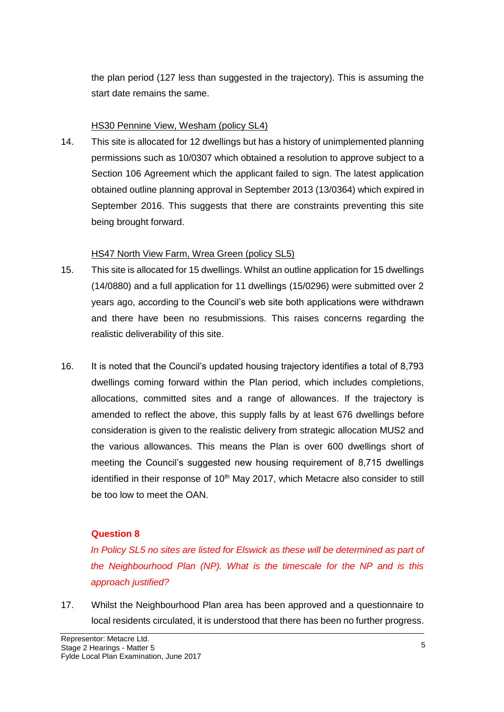the plan period (127 less than suggested in the trajectory). This is assuming the start date remains the same.

#### HS30 Pennine View, Wesham (policy SL4)

14. This site is allocated for 12 dwellings but has a history of unimplemented planning permissions such as 10/0307 which obtained a resolution to approve subject to a Section 106 Agreement which the applicant failed to sign. The latest application obtained outline planning approval in September 2013 (13/0364) which expired in September 2016. This suggests that there are constraints preventing this site being brought forward.

### HS47 North View Farm, Wrea Green (policy SL5)

- 15. This site is allocated for 15 dwellings. Whilst an outline application for 15 dwellings (14/0880) and a full application for 11 dwellings (15/0296) were submitted over 2 years ago, according to the Council's web site both applications were withdrawn and there have been no resubmissions. This raises concerns regarding the realistic deliverability of this site.
- 16. It is noted that the Council's updated housing trajectory identifies a total of 8,793 dwellings coming forward within the Plan period, which includes completions, allocations, committed sites and a range of allowances. If the trajectory is amended to reflect the above, this supply falls by at least 676 dwellings before consideration is given to the realistic delivery from strategic allocation MUS2 and the various allowances. This means the Plan is over 600 dwellings short of meeting the Council's suggested new housing requirement of 8,715 dwellings identified in their response of  $10<sup>th</sup>$  May 2017, which Metacre also consider to still be too low to meet the OAN.

## **Question 8**

In Policy SL5 no sites are listed for Elswick as these will be determined as part of *the Neighbourhood Plan (NP). What is the timescale for the NP and is this approach justified?*

17. Whilst the Neighbourhood Plan area has been approved and a questionnaire to local residents circulated, it is understood that there has been no further progress.